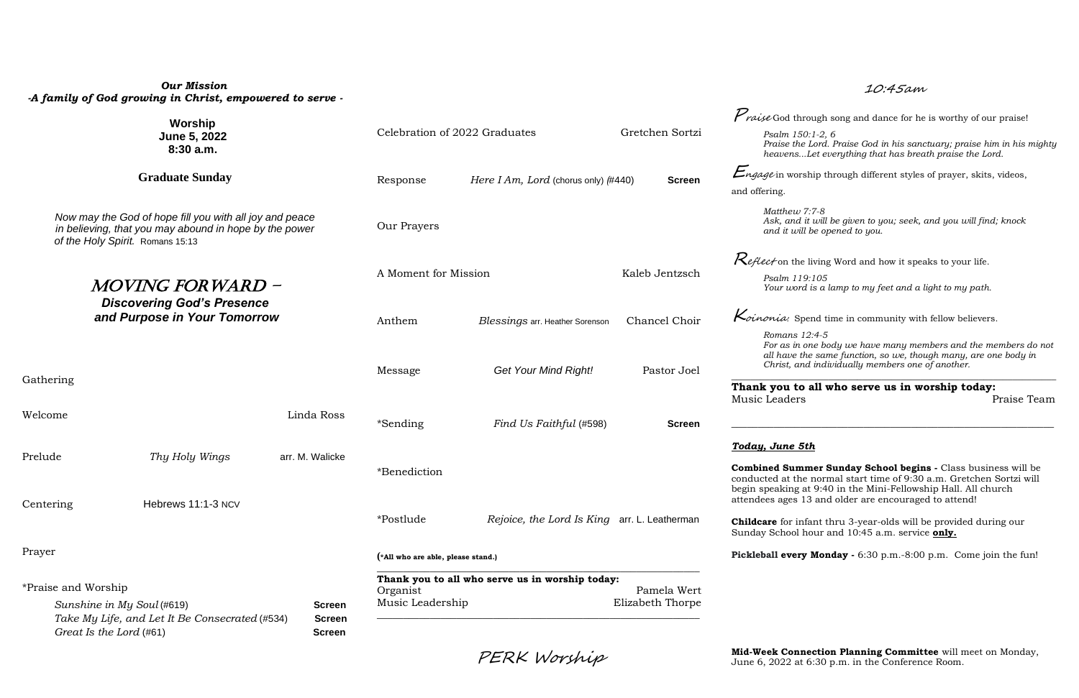# *Our Mission -A family of God growing in Christ, empowered to serve -*

| Worship<br>June 5, 2022<br>8:30a.m.                                                                                                                   |                         |                 |                                                                      |                                                 |                                                                         | <i>Praise</i> God through song and dance for he is worthy of our praise!                                                                                                                                |
|-------------------------------------------------------------------------------------------------------------------------------------------------------|-------------------------|-----------------|----------------------------------------------------------------------|-------------------------------------------------|-------------------------------------------------------------------------|---------------------------------------------------------------------------------------------------------------------------------------------------------------------------------------------------------|
|                                                                                                                                                       |                         |                 | Celebration of 2022 Graduates<br>Gretchen Sortzi                     |                                                 |                                                                         | Psalm 150:1-2, 6<br>Praise the Lord. Praise God in his sanctuary; praise him in his mighty<br>heavensLet everything that has breath praise the Lord.                                                    |
| <b>Graduate Sunday</b>                                                                                                                                |                         |                 | Here I Am, Lord (chorus only) $(\#440)$<br><b>Screen</b><br>Response |                                                 |                                                                         | $E_{ngage}$ in worship through different styles of prayer, skits, videos,                                                                                                                               |
|                                                                                                                                                       |                         |                 |                                                                      |                                                 |                                                                         | and offering.                                                                                                                                                                                           |
| Now may the God of hope fill you with all joy and peace<br>in believing, that you may abound in hope by the power<br>of the Holy Spirit. Romans 15:13 |                         |                 | Our Prayers                                                          |                                                 |                                                                         | Matthew 7:7-8<br>Ask, and it will be given to you; seek, and you will find; knock<br>and it will be opened to you.                                                                                      |
|                                                                                                                                                       |                         |                 |                                                                      |                                                 |                                                                         | <i>Keflect</i> on the living Word and how it speaks to your life.                                                                                                                                       |
| <i>MOVING FORWARD -</i><br><b>Discovering God's Presence</b><br>and Purpose in Your Tomorrow                                                          |                         |                 | A Moment for Mission                                                 |                                                 | Kaleb Jentzsch                                                          | Psalm 119:105<br>Your word is a lamp to my feet and a light to my path.                                                                                                                                 |
|                                                                                                                                                       |                         |                 | Anthem<br><b>Blessings arr. Heather Sorenson</b>                     | Chancel Choir                                   | $\kappa$ <i>dinonia:</i> Spend time in community with fellow believers. |                                                                                                                                                                                                         |
|                                                                                                                                                       |                         |                 | Message                                                              | <b>Get Your Mind Right!</b>                     | Pastor Joel                                                             | Romans 12:4-5<br>For as in one body we have many members and the members do not<br>all have the same function, so we, though many, are one body in<br>Christ, and individually members one of another.  |
| Gathering                                                                                                                                             |                         |                 |                                                                      |                                                 |                                                                         | Thank you to all who serve us in worship today:                                                                                                                                                         |
| Welcome                                                                                                                                               |                         | Linda Ross      | *Sending                                                             | Find Us Faithful (#598)                         | <b>Screen</b>                                                           | Music Leaders<br>Praise Team                                                                                                                                                                            |
|                                                                                                                                                       |                         |                 |                                                                      |                                                 |                                                                         | Today, June 5th                                                                                                                                                                                         |
| Prelude                                                                                                                                               | Thy Holy Wings          | arr. M. Walicke | *Benediction                                                         |                                                 |                                                                         | Combined Summer Sunday School begins - Class business will be<br>conducted at the normal start time of 9:30 a.m. Gretchen Sortzi will<br>begin speaking at 9:40 in the Mini-Fellowship Hall. All church |
| Centering                                                                                                                                             | Hebrews 11:1-3 NCV      |                 |                                                                      |                                                 |                                                                         | attendees ages 13 and older are encouraged to attend!                                                                                                                                                   |
|                                                                                                                                                       |                         |                 | *Postlude                                                            | Rejoice, the Lord Is King arr. L. Leatherman    |                                                                         | <b>Childcare</b> for infant thru 3-year-olds will be provided during our<br>Sunday School hour and 10:45 a.m. service only.                                                                             |
| Prayer                                                                                                                                                |                         |                 | (*All who are able, please stand.)                                   |                                                 |                                                                         | Pickleball every Monday - 6:30 p.m. -8:00 p.m. Come join the fun!                                                                                                                                       |
| *Praise and Worship                                                                                                                                   |                         |                 | Organist                                                             | Thank you to all who serve us in worship today: | Pamela Wert                                                             |                                                                                                                                                                                                         |
| Sunshine in My Soul (#619)<br><b>Screen</b><br>Take My Life, and Let It Be Consecrated (#534)<br><b>Screen</b>                                        |                         |                 | Elizabeth Thorpe<br>Music Leadership                                 |                                                 |                                                                         |                                                                                                                                                                                                         |
|                                                                                                                                                       | Great Is the Lord (#61) | <b>Screen</b>   |                                                                      |                                                 |                                                                         |                                                                                                                                                                                                         |
|                                                                                                                                                       |                         |                 |                                                                      |                                                 |                                                                         |                                                                                                                                                                                                         |

10:45am

### *Today, June 5th*